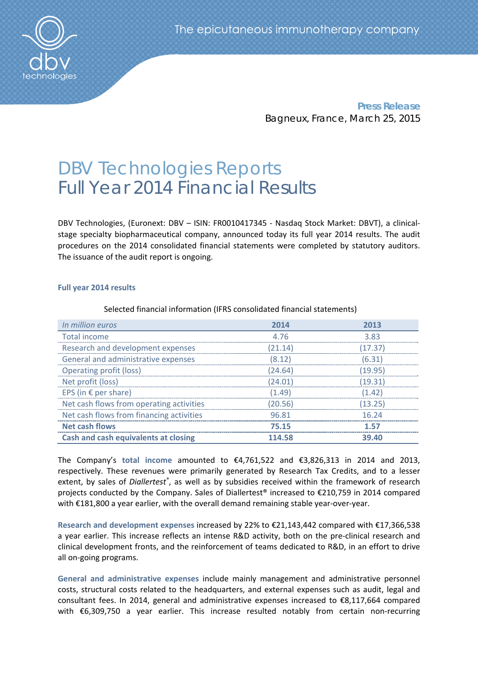

**Press Release** Bagneux, France, March 25, 2015

# DBV Technologies Reports Full Year 2014 Financial Results

DBV Technologies, (Euronext: DBV - ISIN: FR0010417345 - Nasdaq Stock Market: DBVT), a clinicalstage specialty biopharmaceutical company, announced today its full year 2014 results. The audit procedures on the 2014 consolidated financial statements were completed by statutory auditors. The issuance of the audit report is ongoing.

## **Full year 2014 results**

Selected financial information (IFRS consolidated financial statements)

| In million euros                            | 2014    | 2013    |
|---------------------------------------------|---------|---------|
| Total income                                | 4.76    | 3.83    |
| Research and development expenses           | (21.14) | (17.37) |
| General and administrative expenses         | (8.12)  | (6.31)  |
| <b>Operating profit (loss)</b>              | (24.64) | (19.95) |
| Net profit (loss)                           | (24.01) | (19.31) |
| EPS (in $\epsilon$ per share)               | (1.49)  | (1.42)  |
| Net cash flows from operating activities    | (20.56) | (13.25) |
| Net cash flows from financing activities    | 96.81   | 16 24   |
| <b>Net cash flows</b>                       | 75.15   | 157     |
| <b>Cash and cash equivalents at closing</b> | 114.58  | 39.40   |

The Company's **total income** amounted to €4,761,522 and €3,826,313 in 2014 and 2013, respectively. These revenues were primarily generated by Research Tax Credits, and to a lesser extent, by sales of *Diallertest®* , as well as by subsidies received within the framework of research projects conducted by the Company. Sales of Diallertest<sup>®</sup> increased to €210,759 in 2014 compared with €181,800 a year earlier, with the overall demand remaining stable year-over-year.

**Research and development expenses** increased by 22% to €21,143,442 compared with €17,366,538 a year earlier. This increase reflects an intense R&D activity, both on the pre‐clinical research and clinical development fronts, and the reinforcement of teams dedicated to R&D, in an effort to drive all on‐going programs.

**General and administrative expenses** include mainly management and administrative personnel costs, structural costs related to the headquarters, and external expenses such as audit, legal and consultant fees. In 2014, general and administrative expenses increased to €8,117,664 compared with €6,309,750 a year earlier. This increase resulted notably from certain non-recurring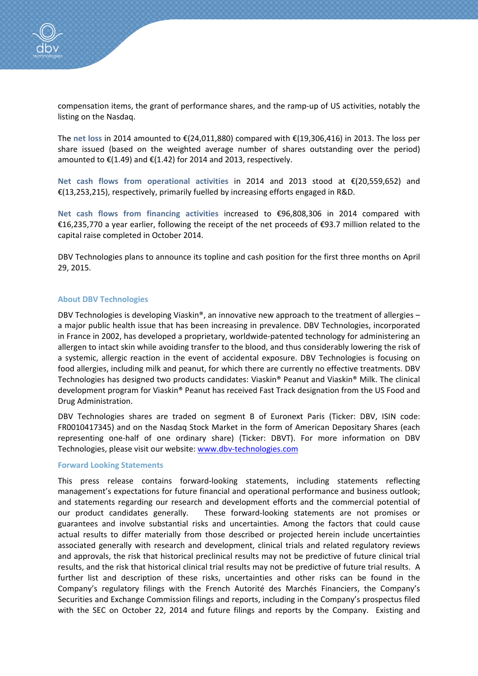

compensation items, the grant of performance shares, and the ramp-up of US activities, notably the listing on the Nasdaq.

The **net loss** in 2014 amounted to €(24,011,880) compared with €(19,306,416) in 2013. The loss per share issued (based on the weighted average number of shares outstanding over the period) amounted to  $\mathfrak{E}(1.49)$  and  $\mathfrak{E}(1.42)$  for 2014 and 2013, respectively.

**Net cash flows from operational activities** in 2014 and 2013 stood at €(20,559,652) and €(13,253,215), respectively, primarily fuelled by increasing efforts engaged in R&D.

**Net cash flows from financing activities** increased to €96,808,306 in 2014 compared with €16,235,770 a year earlier, following the receipt of the net proceeds of €93.7 million related to the capital raise completed in October 2014.

DBV Technologies plans to announce its topline and cash position for the first three months on April 29, 2015.

### **About DBV Technologies**

DBV Technologies is developing Viaskin®, an innovative new approach to the treatment of allergies – a major public health issue that has been increasing in prevalence. DBV Technologies, incorporated in France in 2002, has developed a proprietary, worldwide‐patented technology for administering an allergen to intact skin while avoiding transfer to the blood, and thus considerably lowering the risk of a systemic, allergic reaction in the event of accidental exposure. DBV Technologies is focusing on food allergies, including milk and peanut, for which there are currently no effective treatments. DBV Technologies has designed two products candidates: Viaskin® Peanut and Viaskin® Milk. The clinical development program for Viaskin® Peanut has received Fast Track designation from the US Food and Drug Administration.

DBV Technologies shares are traded on segment B of Euronext Paris (Ticker: DBV, ISIN code: FR0010417345) and on the Nasdaq Stock Market in the form of American Depositary Shares (each representing one‐half of one ordinary share) (Ticker: DBVT). For more information on DBV Technologies, please visit our website: www.dbv-technologies.com

#### **Forward Looking Statements**

This press release contains forward-looking statements, including statements reflecting management's expectations for future financial and operational performance and business outlook; and statements regarding our research and development efforts and the commercial potential of our product candidates generally. These forward-looking statements are not promises or guarantees and involve substantial risks and uncertainties. Among the factors that could cause actual results to differ materially from those described or projected herein include uncertainties associated generally with research and development, clinical trials and related regulatory reviews and approvals, the risk that historical preclinical results may not be predictive of future clinical trial results, and the risk that historical clinical trial results may not be predictive of future trial results. A further list and description of these risks, uncertainties and other risks can be found in the Company's regulatory filings with the French Autorité des Marchés Financiers, the Company's Securities and Exchange Commission filings and reports, including in the Company's prospectus filed with the SEC on October 22, 2014 and future filings and reports by the Company. Existing and